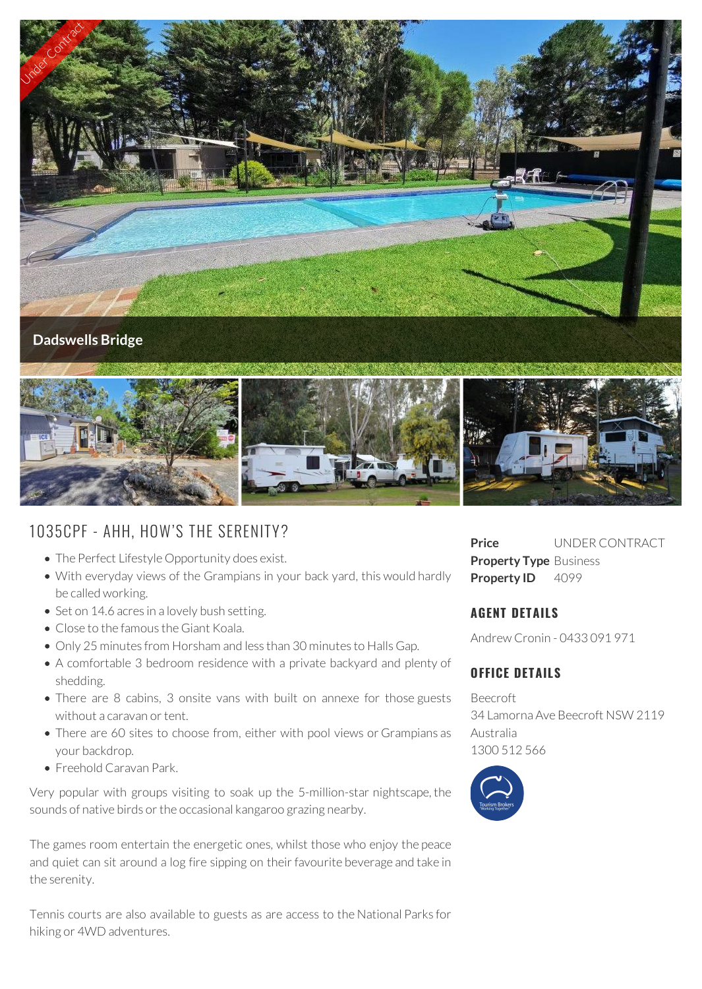

# 1035CPF - AHH, HOW'S THE SERENITY?

- The Perfect Lifestyle Opportunity does exist.
- With everyday views of the Grampians in your back yard, this would hardly be called working.
- Set on 14.6 acres in a lovely bush setting.
- Close to the famous the Giant Koala.
- Only 25 minutes from Horsham and less than 30 minutes to Halls Gap.
- A comfortable 3 bedroom residence with a private backyard and plenty of shedding.
- There are 8 cabins, 3 onsite vans with built on annexe for those guests without a caravan or tent.
- There are 60 sites to choose from, either with pool views or Grampians as your backdrop.
- Freehold Caravan Park.

Very popular with groups visiting to soak up the 5-million-star nightscape, the sounds of native birds or the occasional kangaroo grazing nearby.

The games room entertain the energetic ones, whilst those who enjoy the peace and quiet can sit around a log fire sipping on their favourite beverage and take in the serenity.

Tennis courts are also available to guests as are access to the National Parks for hiking or 4WD adventures.

**Price** UNDER CONTRACT **Property Type** Business **Property ID** 4099

### **AGENT DETAILS**

Andrew Cronin - 0433 091 971

## **OFFICE DETAILS**

Beecroft 34 Lamorna Ave Beecroft NSW 2119 Australia 1300 512 566